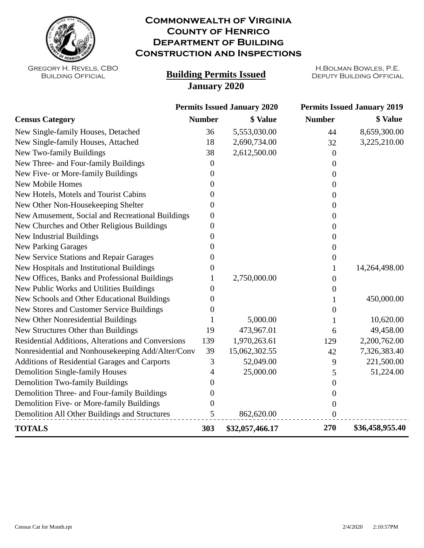

## **Commonwealth of Virginia County of Henrico Department of Building Construction and Inspections**

Gregory H. Revels, CBO Building Official

## **Building Permits Issued DEPUTY BUILDING OFFICIAL January 2020**

H.Bolman Bowles, P.E.

|                                                    | <b>Permits Issued January 2020</b> |                 | <b>Permits Issued January 2019</b> |                 |
|----------------------------------------------------|------------------------------------|-----------------|------------------------------------|-----------------|
| <b>Census Category</b>                             | <b>Number</b>                      | \$ Value        | <b>Number</b>                      | \$ Value        |
| New Single-family Houses, Detached                 | 36                                 | 5,553,030.00    | 44                                 | 8,659,300.00    |
| New Single-family Houses, Attached                 | 18                                 | 2,690,734.00    | 32                                 | 3,225,210.00    |
| New Two-family Buildings                           | 38                                 | 2,612,500.00    | $\overline{0}$                     |                 |
| New Three- and Four-family Buildings               | $\overline{0}$                     |                 | $\overline{0}$                     |                 |
| New Five- or More-family Buildings                 | 0                                  |                 | $\Omega$                           |                 |
| <b>New Mobile Homes</b>                            | 0                                  |                 | 0                                  |                 |
| New Hotels, Motels and Tourist Cabins              | 0                                  |                 | 0                                  |                 |
| New Other Non-Housekeeping Shelter                 | 0                                  |                 | $\Omega$                           |                 |
| New Amusement, Social and Recreational Buildings   | 0                                  |                 | 0                                  |                 |
| New Churches and Other Religious Buildings         | $\boldsymbol{0}$                   |                 | $\overline{0}$                     |                 |
| New Industrial Buildings                           | 0                                  |                 | 0                                  |                 |
| <b>New Parking Garages</b>                         | $_{0}$                             |                 | 0                                  |                 |
| New Service Stations and Repair Garages            | 0                                  |                 | 0                                  |                 |
| New Hospitals and Institutional Buildings          | $\theta$                           |                 | 1                                  | 14,264,498.00   |
| New Offices, Banks and Professional Buildings      |                                    | 2,750,000.00    | 0                                  |                 |
| New Public Works and Utilities Buildings           | 0                                  |                 | $\overline{0}$                     |                 |
| New Schools and Other Educational Buildings        | 0                                  |                 | 1                                  | 450,000.00      |
| New Stores and Customer Service Buildings          | 0                                  |                 | 0                                  |                 |
| New Other Nonresidential Buildings                 |                                    | 5,000.00        | 1                                  | 10,620.00       |
| New Structures Other than Buildings                | 19                                 | 473,967.01      | 6                                  | 49,458.00       |
| Residential Additions, Alterations and Conversions | 139                                | 1,970,263.61    | 129                                | 2,200,762.00    |
| Nonresidential and Nonhousekeeping Add/Alter/Conv  | 39                                 | 15,062,302.55   | 42                                 | 7,326,383.40    |
| Additions of Residential Garages and Carports      | 3                                  | 52,049.00       | 9                                  | 221,500.00      |
| <b>Demolition Single-family Houses</b>             | 4                                  | 25,000.00       | 5                                  | 51,224.00       |
| <b>Demolition Two-family Buildings</b>             | 0                                  |                 | $\Omega$                           |                 |
| Demolition Three- and Four-family Buildings        | 0                                  |                 | $\boldsymbol{0}$                   |                 |
| Demolition Five- or More-family Buildings          | 0                                  |                 | $\boldsymbol{0}$                   |                 |
| Demolition All Other Buildings and Structures      | 5                                  | 862,620.00      | $\boldsymbol{0}$                   |                 |
| <b>TOTALS</b>                                      | 303                                | \$32,057,466.17 | 270                                | \$36,458,955.40 |